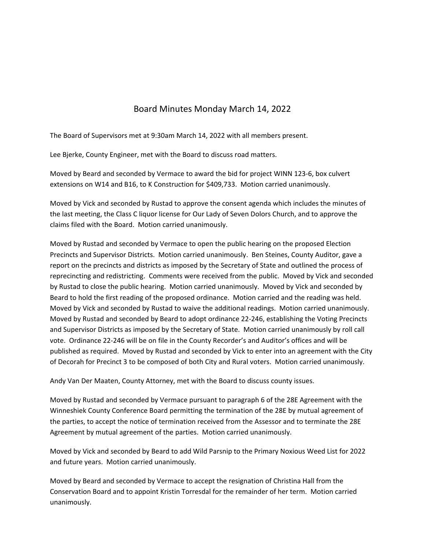## Board Minutes Monday March 14, 2022

The Board of Supervisors met at 9:30am March 14, 2022 with all members present.

Lee Bjerke, County Engineer, met with the Board to discuss road matters.

Moved by Beard and seconded by Vermace to award the bid for project WINN 123‐6, box culvert extensions on W14 and B16, to K Construction for \$409,733. Motion carried unanimously.

Moved by Vick and seconded by Rustad to approve the consent agenda which includes the minutes of the last meeting, the Class C liquor license for Our Lady of Seven Dolors Church, and to approve the claims filed with the Board. Motion carried unanimously.

Moved by Rustad and seconded by Vermace to open the public hearing on the proposed Election Precincts and Supervisor Districts. Motion carried unanimously. Ben Steines, County Auditor, gave a report on the precincts and districts as imposed by the Secretary of State and outlined the process of reprecincting and redistricting. Comments were received from the public. Moved by Vick and seconded by Rustad to close the public hearing. Motion carried unanimously. Moved by Vick and seconded by Beard to hold the first reading of the proposed ordinance. Motion carried and the reading was held. Moved by Vick and seconded by Rustad to waive the additional readings. Motion carried unanimously. Moved by Rustad and seconded by Beard to adopt ordinance 22‐246, establishing the Voting Precincts and Supervisor Districts as imposed by the Secretary of State. Motion carried unanimously by roll call vote. Ordinance 22‐246 will be on file in the County Recorder's and Auditor's offices and will be published as required. Moved by Rustad and seconded by Vick to enter into an agreement with the City of Decorah for Precinct 3 to be composed of both City and Rural voters. Motion carried unanimously.

Andy Van Der Maaten, County Attorney, met with the Board to discuss county issues.

Moved by Rustad and seconded by Vermace pursuant to paragraph 6 of the 28E Agreement with the Winneshiek County Conference Board permitting the termination of the 28E by mutual agreement of the parties, to accept the notice of termination received from the Assessor and to terminate the 28E Agreement by mutual agreement of the parties. Motion carried unanimously.

Moved by Vick and seconded by Beard to add Wild Parsnip to the Primary Noxious Weed List for 2022 and future years. Motion carried unanimously.

Moved by Beard and seconded by Vermace to accept the resignation of Christina Hall from the Conservation Board and to appoint Kristin Torresdal for the remainder of her term. Motion carried unanimously.